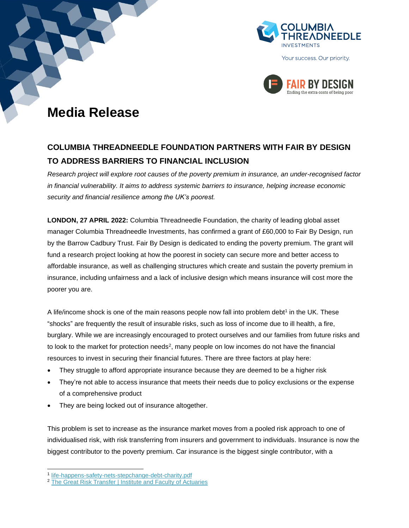



# **Media Release**

# **COLUMBIA THREADNEEDLE FOUNDATION PARTNERS WITH FAIR BY DESIGN TO ADDRESS BARRIERS TO FINANCIAL INCLUSION**

*Research project will explore root causes of the poverty premium in insurance, an under-recognised factor in financial vulnerability. It aims to address systemic barriers to insurance, helping increase economic security and financial resilience among the UK's poorest.*

**LONDON, 27 APRIL 2022:** Columbia Threadneedle Foundation, the charity of leading global asset manager Columbia Threadneedle Investments, has confirmed a grant of £60,000 to Fair By Design, run by the Barrow Cadbury Trust. Fair By Design is dedicated to ending the poverty premium. The grant will fund a research project looking at how the poorest in society can secure more and better access to affordable insurance, as well as challenging structures which create and sustain the poverty premium in insurance, including unfairness and a lack of inclusive design which means insurance will cost more the poorer you are.

A life/income shock is one of the main reasons people now fall into problem debt<sup>1</sup> in the UK. These "shocks" are frequently the result of insurable risks, such as loss of income due to ill health, a fire, burglary. While we are increasingly encouraged to protect ourselves and our families from future risks and to look to the market for protection needs<sup>2</sup>, many people on low incomes do not have the financial resources to invest in securing their financial futures. There are three factors at play here:

- They struggle to afford appropriate insurance because they are deemed to be a higher risk
- They're not able to access insurance that meets their needs due to policy exclusions or the expense of a comprehensive product
- They are being locked out of insurance altogether.

This problem is set to increase as the insurance market moves from a pooled risk approach to one of individualised risk, with risk transferring from insurers and government to individuals. Insurance is now the biggest contributor to the poverty premium. Car insurance is the biggest single contributor, with a

<sup>1</sup> [life-happens-safety-nets-stepchange-debt-charity.pdf](https://www.stepchange.org/Portals/0/assets/pdf/life-happens-safety-nets-stepchange-debt-charity.pdf)

<sup>&</sup>lt;sup>2</sup> [The Great Risk Transfer | Institute and Faculty of Actuaries](https://www.actuaries.org.uk/news-and-insights/public-affairs-and-policy/great-risk-transfer)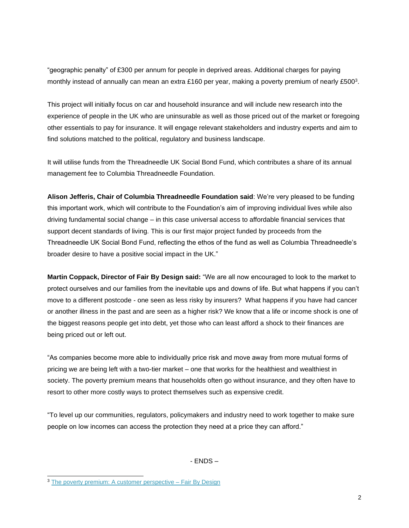"geographic penalty" of £300 per annum for people in deprived areas. Additional charges for paying monthly instead of annually can mean an extra £160 per year, making a poverty premium of nearly £500<sup>3</sup>.

This project will initially focus on car and household insurance and will include new research into the experience of people in the UK who are uninsurable as well as those priced out of the market or foregoing other essentials to pay for insurance. It will engage relevant stakeholders and industry experts and aim to find solutions matched to the political, regulatory and business landscape.

It will utilise funds from the Threadneedle UK Social Bond Fund, which contributes a share of its annual management fee to Columbia Threadneedle Foundation.

**Alison Jefferis, Chair of Columbia Threadneedle Foundation said**: We're very pleased to be funding this important work, which will contribute to the Foundation's aim of improving individual lives while also driving fundamental social change – in this case universal access to affordable financial services that support decent standards of living. This is our first major project funded by proceeds from the Threadneedle UK Social Bond Fund, reflecting the ethos of the fund as well as Columbia Threadneedle's broader desire to have a positive social impact in the UK."

**Martin Coppack, Director of Fair By Design said:** "We are all now encouraged to look to the market to protect ourselves and our families from the inevitable ups and downs of life. But what happens if you can't move to a different postcode - one seen as less risky by insurers? What happens if you have had cancer or another illness in the past and are seen as a higher risk? We know that a life or income shock is one of the biggest reasons people get into debt, yet those who can least afford a shock to their finances are being priced out or left out.

"As companies become more able to individually price risk and move away from more mutual forms of pricing we are being left with a two-tier market – one that works for the healthiest and wealthiest in society. The poverty premium means that households often go without insurance, and they often have to resort to other more costly ways to protect themselves such as expensive credit.

"To level up our communities, regulators, policymakers and industry need to work together to make sure people on low incomes can access the protection they need at a price they can afford."

- ENDS –

<sup>&</sup>lt;sup>3</sup> [The poverty premium: A customer perspective –](https://fairbydesign.com/poverty-premium-research-turn2us/) Fair By Design